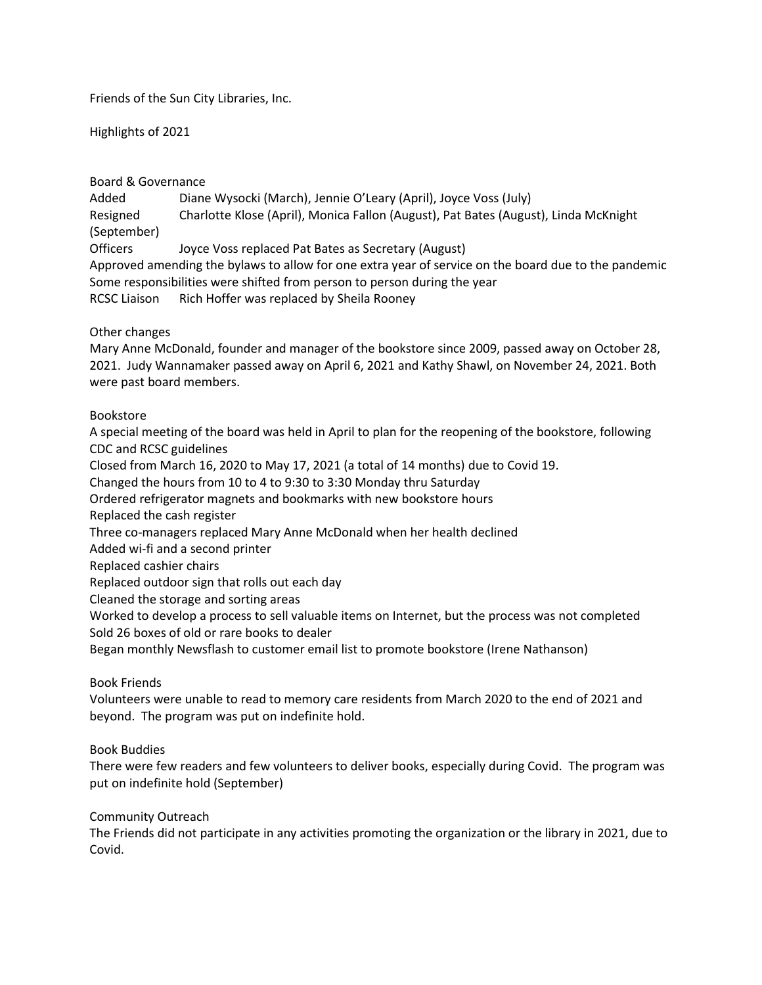Friends of the Sun City Libraries, Inc.

Highlights of 2021

## Board & Governance

Added Diane Wysocki (March), Jennie O'Leary (April), Joyce Voss (July) Resigned Charlotte Klose (April), Monica Fallon (August), Pat Bates (August), Linda McKnight (September)

Officers Joyce Voss replaced Pat Bates as Secretary (August)

Approved amending the bylaws to allow for one extra year of service on the board due to the pandemic Some responsibilities were shifted from person to person during the year RCSC Liaison Rich Hoffer was replaced by Sheila Rooney

## Other changes

Mary Anne McDonald, founder and manager of the bookstore since 2009, passed away on October 28, 2021. Judy Wannamaker passed away on April 6, 2021 and Kathy Shawl, on November 24, 2021. Both were past board members.

## Bookstore

A special meeting of the board was held in April to plan for the reopening of the bookstore, following CDC and RCSC guidelines Closed from March 16, 2020 to May 17, 2021 (a total of 14 months) due to Covid 19.

Changed the hours from 10 to 4 to 9:30 to 3:30 Monday thru Saturday

Ordered refrigerator magnets and bookmarks with new bookstore hours

Replaced the cash register

Three co-managers replaced Mary Anne McDonald when her health declined

Added wi-fi and a second printer

Replaced cashier chairs

Replaced outdoor sign that rolls out each day

Cleaned the storage and sorting areas

Worked to develop a process to sell valuable items on Internet, but the process was not completed Sold 26 boxes of old or rare books to dealer

Began monthly Newsflash to customer email list to promote bookstore (Irene Nathanson)

Book Friends

Volunteers were unable to read to memory care residents from March 2020 to the end of 2021 and beyond. The program was put on indefinite hold.

## Book Buddies

There were few readers and few volunteers to deliver books, especially during Covid. The program was put on indefinite hold (September)

Community Outreach

The Friends did not participate in any activities promoting the organization or the library in 2021, due to Covid.